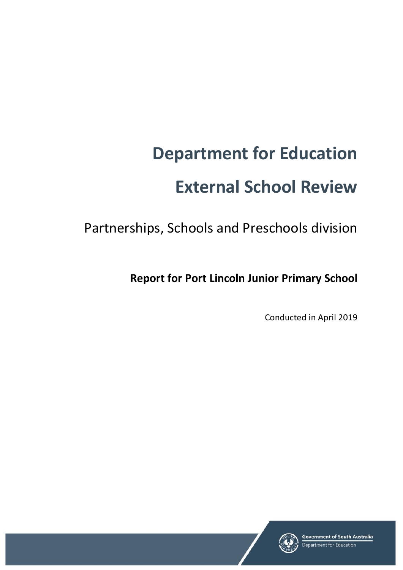# **Department for Education External School Review**

Partnerships, Schools and Preschools division

**Report for Port Lincoln Junior Primary School** 

Conducted in April 2019

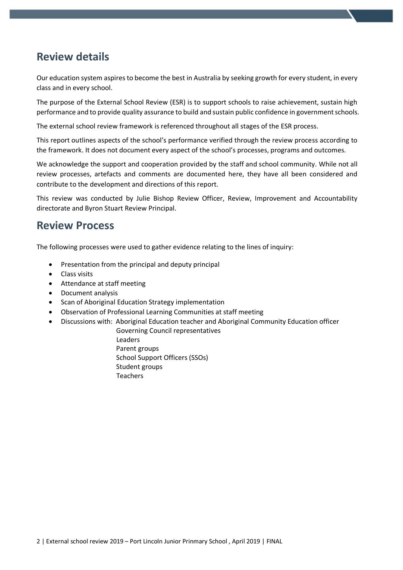## **Review details**

Our education system aspires to become the best in Australia by seeking growth for every student, in every class and in every school.

The purpose of the External School Review (ESR) is to support schools to raise achievement, sustain high performance and to provide quality assurance to build and sustain public confidence in government schools.

The external school review framework is referenced throughout all stages of the ESR process.

This report outlines aspects of the school's performance verified through the review process according to the framework. It does not document every aspect of the school's processes, programs and outcomes.

We acknowledge the support and cooperation provided by the staff and school community. While not all review processes, artefacts and comments are documented here, they have all been considered and contribute to the development and directions of this report.

This review was conducted by Julie Bishop Review Officer, Review, Improvement and Accountability directorate and Byron Stuart Review Principal.

## **Review Process**

The following processes were used to gather evidence relating to the lines of inquiry:

- Presentation from the principal and deputy principal
- Class visits
- Attendance at staff meeting
- Document analysis
- Scan of Aboriginal Education Strategy implementation
- Observation of Professional Learning Communities at staff meeting
- Discussions with: Aboriginal Education teacher and Aboriginal Community Education officer
	- Governing Council representatives Leaders Parent groups School Support Officers (SSOs) Student groups Teachers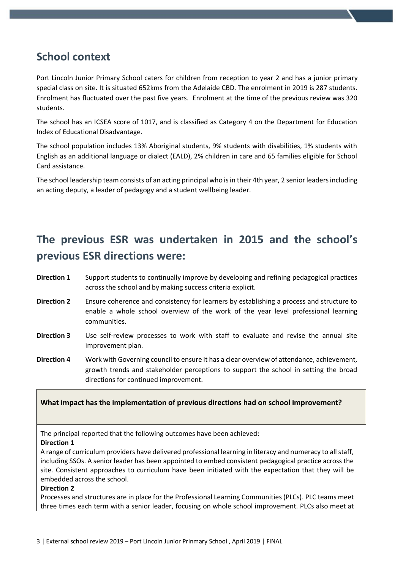## **School context**

Port Lincoln Junior Primary School caters for children from reception to year 2 and has a junior primary special class on site. It is situated 652kms from the Adelaide CBD. The enrolment in 2019 is 287 students. Enrolment has fluctuated over the past five years. Enrolment at the time of the previous review was 320 students.

The school has an ICSEA score of 1017, and is classified as Category 4 on the Department for Education Index of Educational Disadvantage.

The school population includes 13% Aboriginal students, 9% students with disabilities, 1% students with English as an additional language or dialect (EALD), 2% children in care and 65 families eligible for School Card assistance.

The school leadership team consists of an acting principal who is in their 4th year, 2 senior leaders including an acting deputy, a leader of pedagogy and a student wellbeing leader.

# **The previous ESR was undertaken in 2015 and the school's previous ESR directions were:**

- **Direction 1** Support students to continually improve by developing and refining pedagogical practices across the school and by making success criteria explicit.
- **Direction 2** Ensure coherence and consistency for learners by establishing a process and structure to enable a whole school overview of the work of the year level professional learning communities.
- **Direction 3** Use self-review processes to work with staff to evaluate and revise the annual site improvement plan.
- **Direction 4** Work with Governing council to ensure it has a clear overview of attendance, achievement, growth trends and stakeholder perceptions to support the school in setting the broad directions for continued improvement.

#### **What impact has the implementation of previous directions had on school improvement?**

The principal reported that the following outcomes have been achieved:

#### **Direction 1**

A range of curriculum providers have delivered professional learning in literacy and numeracy to all staff, including SSOs. A senior leader has been appointed to embed consistent pedagogical practice across the site. Consistent approaches to curriculum have been initiated with the expectation that they will be embedded across the school.

#### **Direction 2**

Processes and structures are in place for the Professional Learning Communities (PLCs). PLC teams meet three times each term with a senior leader, focusing on whole school improvement. PLCs also meet at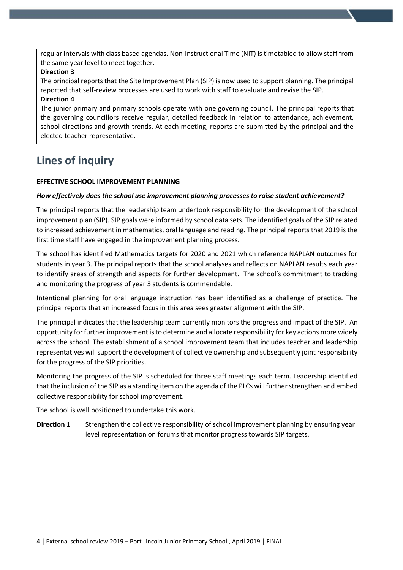regular intervals with class based agendas. Non-Instructional Time (NIT) is timetabled to allow staff from the same year level to meet together.

#### **Direction 3**

The principal reports that the Site Improvement Plan (SIP) is now used to support planning. The principal reported that self-review processes are used to work with staff to evaluate and revise the SIP. **Direction 4**

The junior primary and primary schools operate with one governing council. The principal reports that the governing councillors receive regular, detailed feedback in relation to attendance, achievement, school directions and growth trends. At each meeting, reports are submitted by the principal and the elected teacher representative.

## **Lines of inquiry**

#### **EFFECTIVE SCHOOL IMPROVEMENT PLANNING**

#### *How effectively does the school use improvement planning processes to raise student achievement?*

The principal reports that the leadership team undertook responsibility for the development of the school improvement plan (SIP). SIP goals were informed by school data sets. The identified goals of the SIP related to increased achievement in mathematics, oral language and reading. The principal reports that 2019 is the first time staff have engaged in the improvement planning process.

The school has identified Mathematics targets for 2020 and 2021 which reference NAPLAN outcomes for students in year 3. The principal reports that the school analyses and reflects on NAPLAN results each year to identify areas of strength and aspects for further development. The school's commitment to tracking and monitoring the progress of year 3 students is commendable.

Intentional planning for oral language instruction has been identified as a challenge of practice. The principal reports that an increased focus in this area sees greater alignment with the SIP.

The principal indicates that the leadership team currently monitors the progress and impact of the SIP. An opportunity for further improvement isto determine and allocate responsibility for key actions more widely across the school. The establishment of a school improvement team that includes teacher and leadership representatives will support the development of collective ownership and subsequently joint responsibility for the progress of the SIP priorities.

Monitoring the progress of the SIP is scheduled for three staff meetings each term. Leadership identified that the inclusion of the SIP as a standing item on the agenda of the PLCs will further strengthen and embed collective responsibility for school improvement.

The school is well positioned to undertake this work.

**Direction 1** Strengthen the collective responsibility of school improvement planning by ensuring year level representation on forums that monitor progress towards SIP targets.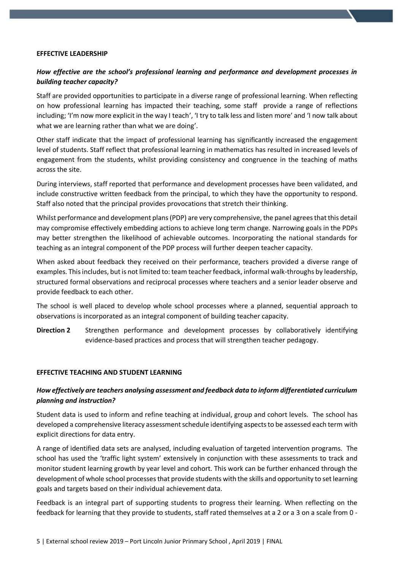#### **EFFECTIVE LEADERSHIP**

### *How effective are the school's professional learning and performance and development processes in building teacher capacity?*

Staff are provided opportunities to participate in a diverse range of professional learning. When reflecting on how professional learning has impacted their teaching, some staff provide a range of reflections including; 'I'm now more explicit in the way I teach', 'I try to talk less and listen more' and 'I now talk about what we are learning rather than what we are doing'.

Other staff indicate that the impact of professional learning has significantly increased the engagement level of students. Staff reflect that professional learning in mathematics has resulted in increased levels of engagement from the students, whilst providing consistency and congruence in the teaching of maths across the site.

During interviews, staff reported that performance and development processes have been validated, and include constructive written feedback from the principal, to which they have the opportunity to respond. Staff also noted that the principal provides provocations that stretch their thinking.

Whilst performance and development plans (PDP) are very comprehensive, the panel agrees that this detail may compromise effectively embedding actions to achieve long term change. Narrowing goals in the PDPs may better strengthen the likelihood of achievable outcomes. Incorporating the national standards for teaching as an integral component of the PDP process will further deepen teacher capacity.

When asked about feedback they received on their performance, teachers provided a diverse range of examples. This includes, but is not limited to: team teacher feedback, informal walk-throughs by leadership, structured formal observations and reciprocal processes where teachers and a senior leader observe and provide feedback to each other.

The school is well placed to develop whole school processes where a planned, sequential approach to observations is incorporated as an integral component of building teacher capacity.

**Direction 2** Strengthen performance and development processes by collaboratively identifying evidence-based practices and process that will strengthen teacher pedagogy.

#### **EFFECTIVE TEACHING AND STUDENT LEARNING**

#### *How effectively are teachers analysing assessment and feedback data to inform differentiated curriculum planning and instruction?*

Student data is used to inform and refine teaching at individual, group and cohort levels. The school has developed a comprehensive literacy assessment schedule identifying aspects to be assessed each term with explicit directions for data entry.

A range of identified data sets are analysed, including evaluation of targeted intervention programs. The school has used the 'traffic light system' extensively in conjunction with these assessments to track and monitor student learning growth by year level and cohort. This work can be further enhanced through the development of whole school processesthat provide students with the skills and opportunity to set learning goals and targets based on their individual achievement data.

Feedback is an integral part of supporting students to progress their learning. When reflecting on the feedback for learning that they provide to students, staff rated themselves at a 2 or a 3 on a scale from 0 -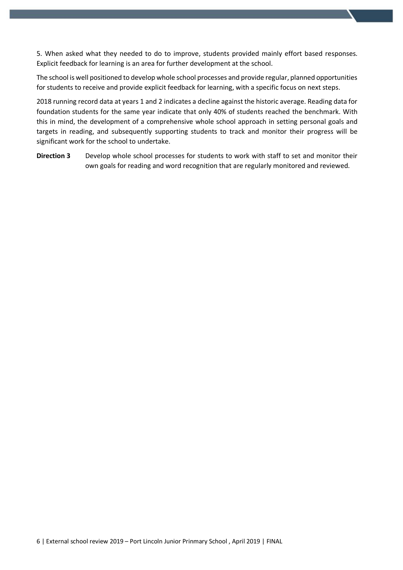5. When asked what they needed to do to improve, students provided mainly effort based responses. Explicit feedback for learning is an area for further development at the school.

The school is well positioned to develop whole school processes and provide regular, planned opportunities for students to receive and provide explicit feedback for learning, with a specific focus on next steps.

2018 running record data at years 1 and 2 indicates a decline against the historic average. Reading data for foundation students for the same year indicate that only 40% of students reached the benchmark. With this in mind, the development of a comprehensive whole school approach in setting personal goals and targets in reading, and subsequently supporting students to track and monitor their progress will be significant work for the school to undertake.

**Direction 3** Develop whole school processes for students to work with staff to set and monitor their own goals for reading and word recognition that are regularly monitored and reviewed.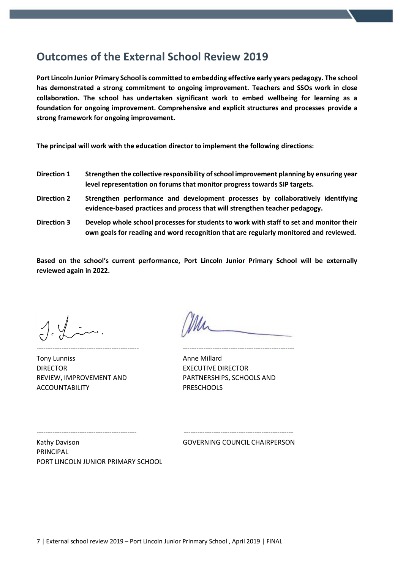## **Outcomes of the External School Review 2019**

**Port Lincoln Junior Primary School is committed to embedding effective early years pedagogy. The school has demonstrated a strong commitment to ongoing improvement. Teachers and SSOs work in close collaboration. The school has undertaken significant work to embed wellbeing for learning as a foundation for ongoing improvement. Comprehensive and explicit structures and processes provide a strong framework for ongoing improvement.**

**The principal will work with the education director to implement the following directions:**

- **Direction 1 Strengthen the collective responsibility of school improvement planning by ensuring year level representation on forums that monitor progress towards SIP targets.**
- **Direction 2 Strengthen performance and development processes by collaboratively identifying evidence-based practices and process that will strengthen teacher pedagogy.**
- **Direction 3 Develop whole school processes for students to work with staff to set and monitor their own goals for reading and word recognition that are regularly monitored and reviewed.**

**Based on the school's current performance, Port Lincoln Junior Primary School will be externally reviewed again in 2022.**

Tony Lunniss **Anne Millard Anne Millard** DIRECTOR EXECUTIVE DIRECTOR ACCOUNTABILITY PRESCHOOLS

--------------------------------------------- ------------------------------------------------- REVIEW, IMPROVEMENT AND PARTNERSHIPS, SCHOOLS AND

Kathy Davison GOVERNING COUNCIL CHAIRPERSON PRINCIPAL PORT LINCOLN JUNIOR PRIMARY SCHOOL

-------------------------------------------- ------------------------------------------------